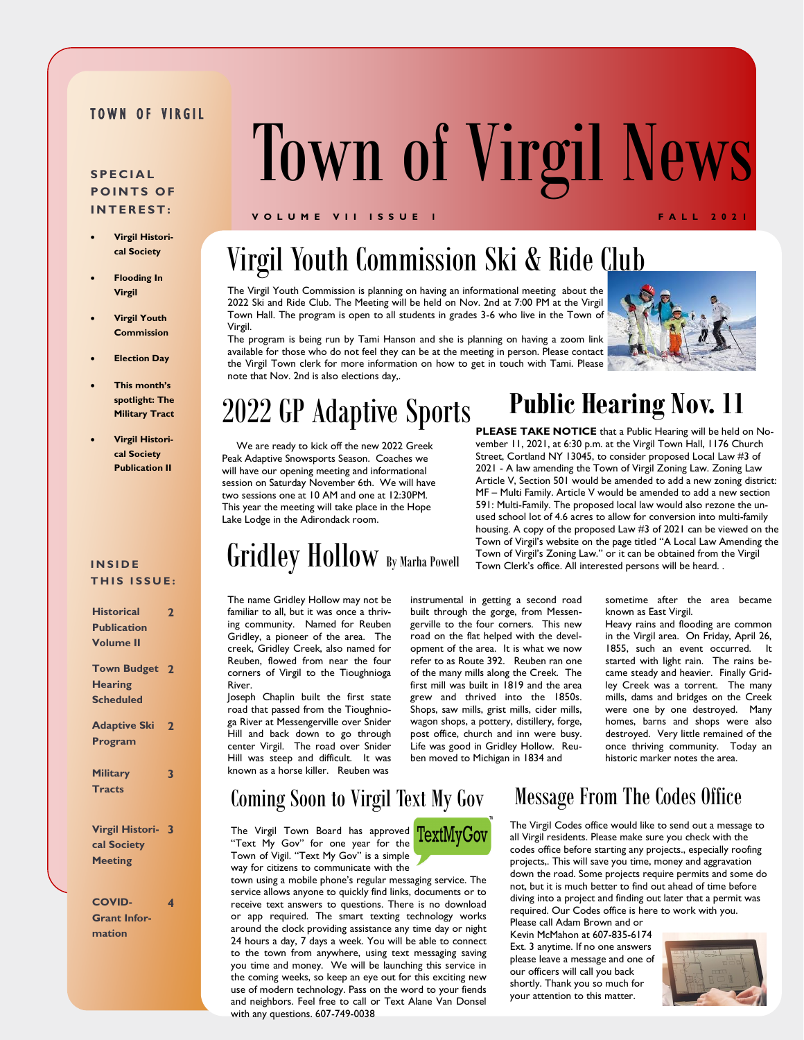#### **TOWN OF VIRGIL**

#### **S P E C I A L POINTS OF I N T E R E S T :**

- **Virgil Historical Society**
- **Flooding In Virgil**
- **Virgil Youth Commission**
- **Election Day**
- **This month's spotlight: The Military Tract**
- **Virgil Historical Society Publication II**

#### **I N S I D E THIS ISSUE:**

| <b>Historical</b>    | $\overline{2}$ |
|----------------------|----------------|
| <b>Publication</b>   |                |
| <b>Volume II</b>     |                |
| <b>Town Budget 2</b> |                |
| <b>Hearing</b>       |                |
| <b>Scheduled</b>     |                |
| <b>Adaptive Ski</b>  | $\overline{2}$ |
| Program              |                |
| <b>Military</b>      | 3              |
| <b>Tracts</b>        |                |
|                      |                |
| Virgil Histori- 3    |                |
|                      |                |

**cal Society Meeting**

**COVID-Grant Information** 

**4**

# Town of Virgil News

#### **V O L U M E V I I I S S U E 1 F A L L 2 0 2 1**

# Virgil Youth Commission Ski & Ride Club

The Virgil Youth Commission is planning on having an informational meeting about the 2022 Ski and Ride Club. The Meeting will be held on Nov. 2nd at 7:00 PM at the Virgil Town Hall. The program is open to all students in grades 3-6 who live in the Town of Virgil.

The program is being run by Tami Hanson and she is planning on having a zoom link available for those who do not feel they can be at the meeting in person. Please contact the Virgil Town clerk for more information on how to get in touch with Tami. Please note that Nov. 2nd is also elections day,.



#### 2022 GP Adaptive Sports **PLEASE TAKE NOTICE** that a Public Hearing will be held on No-**Public Hearing Nov. 11**

 We are ready to kick off the new 2022 Greek Peak Adaptive Snowsports Season. Coaches we will have our opening meeting and informational session on Saturday November 6th. We will have two sessions one at 10 AM and one at 12:30PM. This year the meeting will take place in the Hope Lake Lodge in the Adirondack room.

### Gridley Hollow By Marha Powell

The name Gridley Hollow may not be familiar to all, but it was once a thriving community. Named for Reuben Gridley, a pioneer of the area. The creek, Gridley Creek, also named for Reuben, flowed from near the four corners of Virgil to the Tioughnioga River.

Joseph Chaplin built the first state road that passed from the Tioughnioga River at Messengerville over Snider Hill and back down to go through center Virgil. The road over Snider Hill was steep and difficult. It was known as a horse killer. Reuben was

instrumental in getting a second road built through the gorge, from Messengerville to the four corners. This new road on the flat helped with the development of the area. It is what we now refer to as Route 392. Reuben ran one of the many mills along the Creek. The first mill was built in 1819 and the area grew and thrived into the 1850s. Shops, saw mills, grist mills, cider mills, wagon shops, a pottery, distillery, forge, post office, church and inn were busy. Life was good in Gridley Hollow. Reuben moved to Michigan in 1834 and

sometime after the area became Town Clerk's office. All interested persons will be heard. .

> known as East Virgil. Heavy rains and flooding are common in the Virgil area. On Friday, April 26, 1855, such an event occurred. It started with light rain. The rains became steady and heavier. Finally Gridley Creek was a torrent. The many mills, dams and bridges on the Creek were one by one destroyed. Many homes, barns and shops were also destroyed. Very little remained of the once thriving community. Today an historic marker notes the area.

### Coming Soon to Virgil Text My Gov Message From The Codes Office

you time and money. We will be launching this service in the coming weeks, so keep an eye out for this exciting new use of modern technology. Pass on the word to your fiends and neighbors. Feel free to call or Text Alane Van Donsel

The Virgil Town Board has approved TextMyGov "Text My Gov" for one year for the Town of Vigil. "Text My Gov" is a simple way for citizens to communicate with the

with any questions. 607-749-0038

town using a mobile phone's regular messaging service. The service allows anyone to quickly find links, documents or to receive text answers to questions. There is no download or app required. The smart texting technology works around the clock providing assistance any time day or night 24 hours a day, 7 days a week. You will be able to connect to the town from anywhere, using text messaging saving



vember 11, 2021, at 6:30 p.m. at the Virgil Town Hall, 1176 Church Street, Cortland NY 13045, to consider proposed Local Law #3 of 2021 - A law amending the Town of Virgil Zoning Law. Zoning Law Article V, Section 501 would be amended to add a new zoning district: MF – Multi Family. Article V would be amended to add a new section 591: Multi-Family. The proposed local law would also rezone the unused school lot of 4.6 acres to allow for conversion into multi-family housing. A copy of the proposed Law #3 of 2021 can be viewed on the Town of Virgil's website on the page titled "A Local Law Amending the Town of Virgil's Zoning Law." or it can be obtained from the Virgil

> The Virgil Codes office would like to send out a message to all Virgil residents. Please make sure you check with the codes office before starting any projects., especially roofing projects,. This will save you time, money and aggravation down the road. Some projects require permits and some do not, but it is much better to find out ahead of time before diving into a project and finding out later that a permit was required. Our Codes office is here to work with you.

Please call Adam Brown and or Kevin McMahon at 607-835-6174 Ext. 3 anytime. If no one answers please leave a message and one of our officers will call you back shortly. Thank you so much for your attention to this matter.

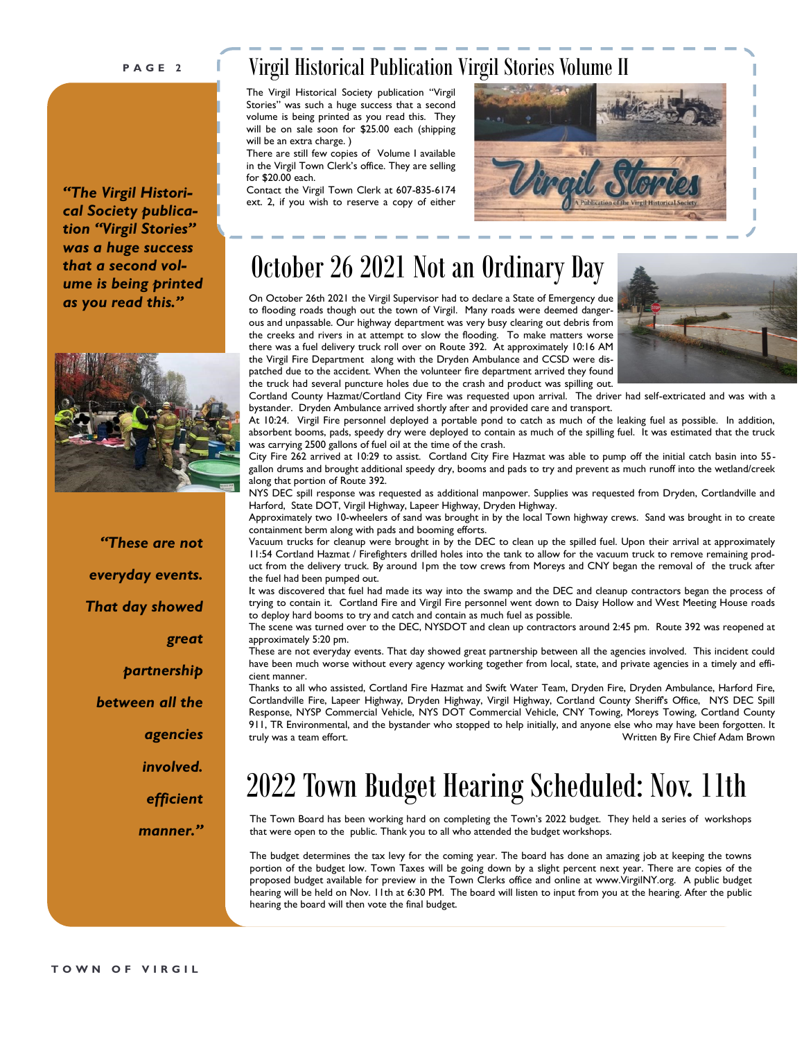#### **P A G E 2**

*"The Virgil Historical Society publication "Virgil Stories" was a huge success that a second volume is being printed as you read this."* 



*"These are not everyday events. That day showed great partnership between all the agencies involved. efficient manner."* 

### Virgil Historical Publication Virgil Stories Volume II

The Virgil Historical Society publication "Virgil Stories" was such a huge success that a second volume is being printed as you read this. They will be on sale soon for \$25.00 each (shipping will be an extra charge. )

There are still few copies of Volume I available in the Virgil Town Clerk's office. They are selling for \$20.00 each.

Contact the Virgil Town Clerk at 607-835-6174 ext. 2, if you wish to reserve a copy of either



### October 26 2021 Not an Ordinary Day

On October 26th 2021 the Virgil Supervisor had to declare a State of Emergency due to flooding roads though out the town of Virgil. Many roads were deemed dangerous and unpassable. Our highway department was very busy clearing out debris from the creeks and rivers in at attempt to slow the flooding. To make matters worse there was a fuel delivery truck roll over on Route 392. At approximately 10:16 AM the Virgil Fire Department along with the Dryden Ambulance and CCSD were dispatched due to the accident. When the volunteer fire department arrived they found the truck had several puncture holes due to the crash and product was spilling out.



Cortland County Hazmat/Cortland City Fire was requested upon arrival. The driver had self-extricated and was with a bystander. Dryden Ambulance arrived shortly after and provided care and transport.

At 10:24. Virgil Fire personnel deployed a portable pond to catch as much of the leaking fuel as possible. In addition, absorbent booms, pads, speedy dry were deployed to contain as much of the spilling fuel. It was estimated that the truck was carrying 2500 gallons of fuel oil at the time of the crash.

City Fire 262 arrived at 10:29 to assist. Cortland City Fire Hazmat was able to pump off the initial catch basin into 55 gallon drums and brought additional speedy dry, booms and pads to try and prevent as much runoff into the wetland/creek along that portion of Route 392.

NYS DEC spill response was requested as additional manpower. Supplies was requested from Dryden, Cortlandville and Harford, State DOT, Virgil Highway, Lapeer Highway, Dryden Highway.

Approximately two 10-wheelers of sand was brought in by the local Town highway crews. Sand was brought in to create containment berm along with pads and booming efforts.

Vacuum trucks for cleanup were brought in by the DEC to clean up the spilled fuel. Upon their arrival at approximately 11:54 Cortland Hazmat / Firefighters drilled holes into the tank to allow for the vacuum truck to remove remaining product from the delivery truck. By around 1pm the tow crews from Moreys and CNY began the removal of the truck after the fuel had been pumped out.

It was discovered that fuel had made its way into the swamp and the DEC and cleanup contractors began the process of trying to contain it. Cortland Fire and Virgil Fire personnel went down to Daisy Hollow and West Meeting House roads to deploy hard booms to try and catch and contain as much fuel as possible.

The scene was turned over to the DEC, NYSDOT and clean up contractors around 2:45 pm. Route 392 was reopened at approximately 5:20 pm.

These are not everyday events. That day showed great partnership between all the agencies involved. This incident could have been much worse without every agency working together from local, state, and private agencies in a timely and efficient manner.

Thanks to all who assisted, Cortland Fire Hazmat and Swift Water Team, Dryden Fire, Dryden Ambulance, Harford Fire, Cortlandville Fire, Lapeer Highway, Dryden Highway, Virgil Highway, Cortland County Sheriff's Office, NYS DEC Spill Response, NYSP Commercial Vehicle, NYS DOT Commercial Vehicle, CNY Towing, Moreys Towing, Cortland County 911, TR Environmental, and the bystander who stopped to help initially, and anyone else who may have been forgotten. It truly was a team effort. Written By Fire Chief Adam Brown

### 2022 Town Budget Hearing Scheduled: Nov. 11th

The Town Board has been working hard on completing the Town's 2022 budget. They held a series of workshops that were open to the public. Thank you to all who attended the budget workshops.

The budget determines the tax levy for the coming year. The board has done an amazing job at keeping the towns portion of the budget low. Town Taxes will be going down by a slight percent next year. There are copies of the proposed budget available for preview in the Town Clerks office and online at www.VirgilNY.org. A public budget hearing will be held on Nov. 11th at 6:30 PM. The board will listen to input from you at the hearing. After the public hearing the board will then vote the final budget.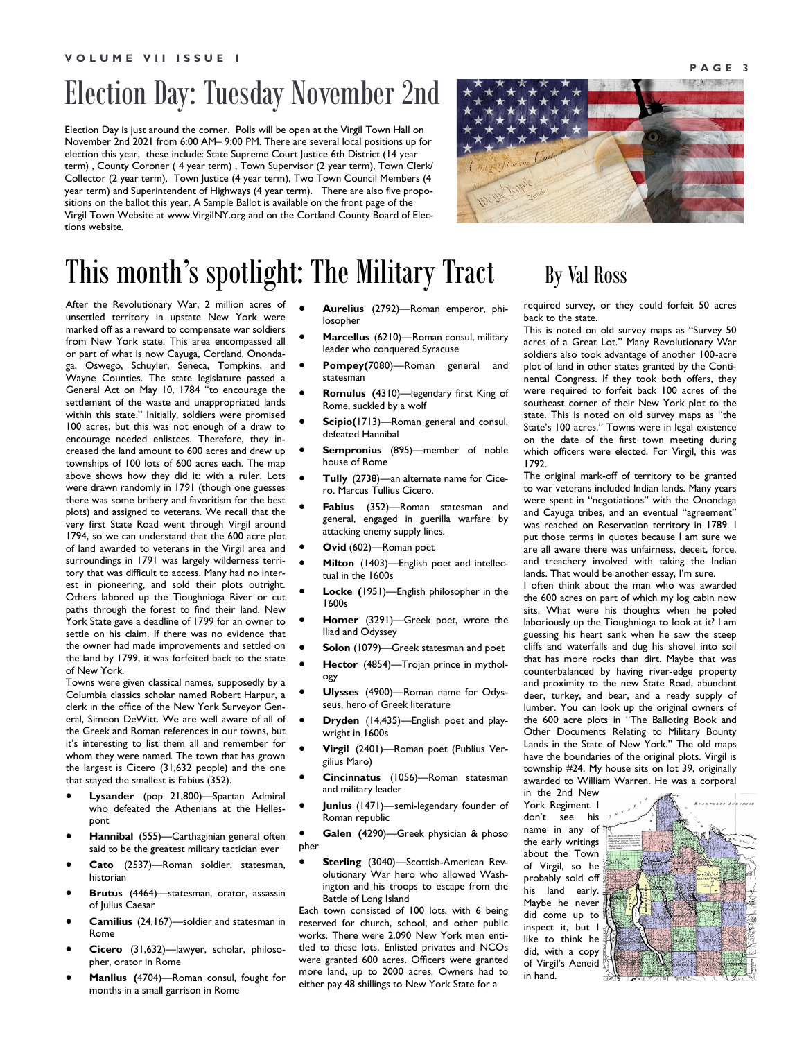### Election Day: Tuesday November 2nd

Election Day is just around the corner. Polls will be open at the Virgil Town Hall on November 2nd 2021 from 6:00 AM– 9:00 PM. There are several local positions up for election this year, these include: State Supreme Court Justice 6th District (14 year term) , County Coroner ( 4 year term) , Town Supervisor (2 year term), Town Clerk/ Collector (2 year term), Town Justice (4 year term), Two Town Council Members (4 year term) and Superintendent of Highways (4 year term). There are also five propositions on the ballot this year. A Sample Ballot is available on the front page of the Virgil Town Website at www.VirgilNY.org and on the Cortland County Board of Elections website.



### This month's spotlight: The Military Tract By Val Ross

After the Revolutionary War, 2 million acres of unsettled territory in upstate New York were marked off as a reward to compensate war soldiers from New York state. This area encompassed all or part of what is now Cayuga, Cortland, Onondaga, Oswego, Schuyler, Seneca, Tompkins, and Wayne Counties. The state legislature passed a General Act on May 10, 1784 "to encourage the settlement of the waste and unappropriated lands within this state." Initially, soldiers were promised 100 acres, but this was not enough of a draw to encourage needed enlistees. Therefore, they increased the land amount to 600 acres and drew up townships of 100 lots of 600 acres each. The map above shows how they did it: with a ruler. Lots were drawn randomly in 1791 (though one guesses there was some bribery and favoritism for the best plots) and assigned to veterans. We recall that the very first State Road went through Virgil around 1794, so we can understand that the 600 acre plot of land awarded to veterans in the Virgil area and surroundings in 1791 was largely wilderness territory that was difficult to access. Many had no interest in pioneering, and sold their plots outright. Others labored up the Tioughnioga River or cut paths through the forest to find their land. New York State gave a deadline of 1799 for an owner to settle on his claim. If there was no evidence that the owner had made improvements and settled on the land by 1799, it was forfeited back to the state of New York.

Towns were given classical names, supposedly by a Columbia classics scholar named Robert Harpur, a clerk in the office of the New York Surveyor General, Simeon DeWitt. We are well aware of all of the Greek and Roman references in our towns, but it's interesting to list them all and remember for whom they were named. The town that has grown the largest is Cicero (31,632 people) and the one that stayed the smallest is Fabius (352).

- **Lysander** (pop 21,800)—Spartan Admiral who defeated the Athenians at the Hellespont
- **Hannibal** (555)—Carthaginian general often said to be the greatest military tactician ever
- **Cato** (2537)—Roman soldier, statesman, historian
- **Brutus** (4464)—statesman, orator, assassin of Julius Caesar
- **Camilius** (24,167)—soldier and statesman in Rome
- **Cicero** (31,632)—lawyer, scholar, philosopher, orator in Rome
- **Manlius (**4704)—Roman consul, fought for months in a small garrison in Rome
- **Aurelius** (2792)—Roman emperor, philosopher
- **Marcellus** (6210)—Roman consul, military leader who conquered Syracuse
- **Pompey(**7080)—Roman general and statesman
- **Romulus (**4310)—legendary first King of Rome, suckled by a wolf
- **Scipio(**1713)—Roman general and consul, defeated Hannibal
- **Sempronius** (895)—member of noble house of Rome
- **Tully** (2738)—an alternate name for Cicero. Marcus Tullius Cicero.
- **Fabius** (352)—Roman statesman and general, engaged in guerilla warfare by attacking enemy supply lines.
- **Ovid** (602)—Roman poet
- **Milton** (1403)—English poet and intellectual in the 1600s
- **Locke (**1951)—English philosopher in the 1600s
- **Homer** (3291)—Greek poet, wrote the Iliad and Odyssey
- **Solon** (1079)—Greek statesman and poet
- **Hector** (4854)—Trojan prince in mythology
- **Ulysses** (4900)—Roman name for Odysseus, hero of Greek literature
- **Dryden** (14,435)—English poet and playwright in 1600s
- **Virgil** (2401)—Roman poet (Publius Vergilius Maro)
- **Cincinnatus** (1056)—Roman statesman and military leader
- **Junius** (1471)—semi-legendary founder of Roman republic
- **Galen (**4290)—Greek physician & phoso pher
- **Sterling** (3040)—Scottish-American Revolutionary War hero who allowed Washington and his troops to escape from the Battle of Long Island

Each town consisted of 100 lots, with 6 being reserved for church, school, and other public works. There were 2,090 New York men entitled to these lots. Enlisted privates and NCOs were granted 600 acres. Officers were granted more land, up to 2000 acres. Owners had to either pay 48 shillings to New York State for a

required survey, or they could forfeit 50 acres back to the state.

This is noted on old survey maps as "Survey 50 acres of a Great Lot." Many Revolutionary War soldiers also took advantage of another 100-acre plot of land in other states granted by the Continental Congress. If they took both offers, they were required to forfeit back 100 acres of the southeast corner of their New York plot to the state. This is noted on old survey maps as "the State's 100 acres." Towns were in legal existence on the date of the first town meeting during which officers were elected. For Virgil, this was 1792.

The original mark-off of territory to be granted to war veterans included Indian lands. Many years were spent in "negotiations" with the Onondaga and Cayuga tribes, and an eventual "agreement" was reached on Reservation territory in 1789. I put those terms in quotes because I am sure we are all aware there was unfairness, deceit, force, and treachery involved with taking the Indian lands. That would be another essay, I'm sure.

I often think about the man who was awarded the 600 acres on part of which my log cabin now sits. What were his thoughts when he poled laboriously up the Tioughnioga to look at it? I am guessing his heart sank when he saw the steep cliffs and waterfalls and dug his shovel into soil that has more rocks than dirt. Maybe that was counterbalanced by having river-edge property and proximity to the new State Road, abundant deer, turkey, and bear, and a ready supply of lumber. You can look up the original owners of the 600 acre plots in "The Balloting Book and Other Documents Relating to Military Bounty Lands in the State of New York." The old maps have the boundaries of the original plots. Virgil is township #24. My house sits on lot 39, originally awarded to William Warren. He was a corporal in the 2nd New

York Regiment. I don't see his name in any of the early writings about the Town of Virgil, so he probably sold off his land early. Maybe he never did come up to inspect it, but I like to think he did, with a copy of Virgil's Aeneid in hand.